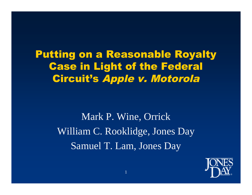Putting on a Reasonable Royalty Case in Light of the Federal Circuit's Apple v. Motorola

> Mark P. Wine, Orrick William C. Rooklidge, Jones Day Samuel T. Lam, Jones Day

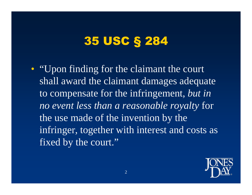# 35 USC § 284

• "Upon finding for the claimant the court shall award the claimant damages adequate to compensate for the infringement, *but in no event less than a reasonable royalty* for the use made of the invention by the infringer, together with interest and costs as fixed by the court."

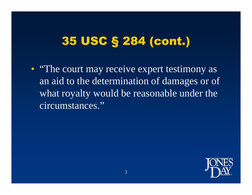# 35 USC § 284 (cont.)

• "The court may receive expert testimony as an aid to the determination of damages or of what royalty would be reasonable under the circumstances."

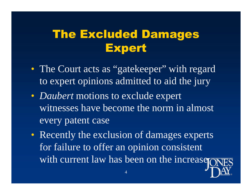# The Excluded Damages Expert

- The Court acts as "gatekeeper" with regard to expert opinions admitted to aid the jury
- *Daubert* motions to exclude expert witnesses have become the norm in almost every patent case
- Recently the exclusion of damages experts for failure to offer an opinion consistent with current law has been on the increase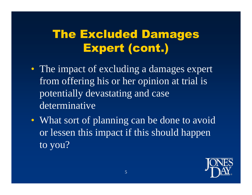# The Excluded Damages Expert (cont.)

- The impact of excluding a damages expert from offering his or her opinion at trial is potentially devastating and case determinative
- What sort of planning can be done to avoid or lessen this impact if this should happen to you?

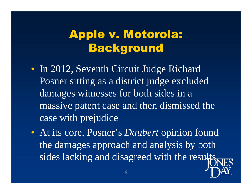# Apple v. Motorola: Background

- In 2012, Seventh Circuit Judge Richard Posner sitting as a district judge excluded damages witnesses for both sides in a massive patent case and then dismissed the case with prejudice
- At its core, Posner's *Daubert* opinion found the damages approach and analysis by both sides lacking and disagreed with the results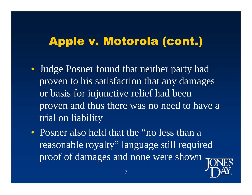- Judge Posner found that neither party had proven to his satisfaction that any damages or basis for injunctive relief had been proven and thus there was no need to have a trial on liability
- Posner also held that the "no less than a reasonable royalty" language still required proof of damages and none were shown

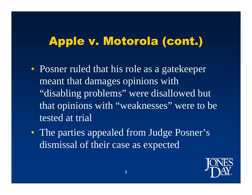- Posner ruled that his role as a gatekeeper meant that damages opinions with "disabling problems" were disallowed but that opinions with "weaknesses" were to be tested at trial
- The parties appealed from Judge Posner's dismissal of their case as expected

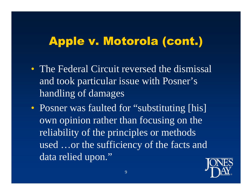- The Federal Circuit reversed the dismissal and took particular issue with Posner's handling of damages
- Posner was faulted for "substituting [his] own opinion rather than focusing on the reliability of the principles or methods used …or the sufficiency of the facts and data relied upon."

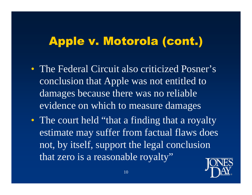- The Federal Circuit also criticized Posner's conclusion that Apple was not entitled to damages because there was no reliable evidence on which to measure damages
- The court held "that a finding that a royalty" estimate may suffer from factual flaws does not, by itself, support the legal conclusion that zero is a reasonable royalty"

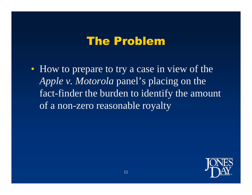#### The Problem

• How to prepare to try a case in view of the *Apple v. Motorola* panel's placing on the fact-finder the burden to identify the amount of a non-zero reasonable royalty

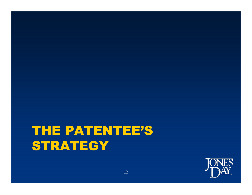# THE PATENTEE'S **STRATEGY**

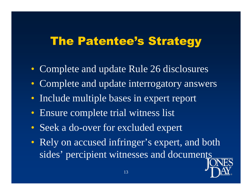### The Patentee's Strategy

- Complete and update Rule 26 disclosures
- Complete and update interrogatory answers
- Include multiple bases in expert report
- Ensure complete trial witness list
- Seek a do-over for excluded expert
- Rely on accused infringer's expert, and both sides' percipient witnesses and documents

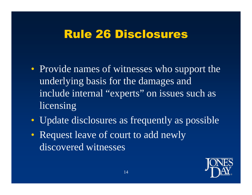#### Rule 26 Disclosures

- Provide names of witnesses who support the underlying basis for the damages and include internal "experts" on issues such as licensing
- Update disclosures as frequently as possible
- Request leave of court to add newly discovered witnesses

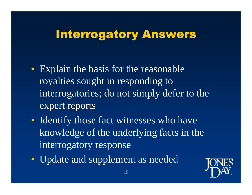### Interrogatory Answers

- Explain the basis for the reasonable royalties sought in responding to interrogatories; do not simply defer to the expert reports
- Identify those fact witnesses who have knowledge of the underlying facts in the interrogatory response
- Update and supplement as needed

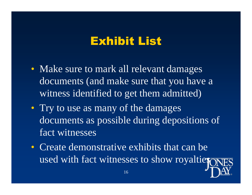#### Exhibit List

- Make sure to mark all relevant damages documents (and make sure that you have a witness identified to get them admitted)
- Try to use as many of the damages documents as possible during depositions of fact witnesses
- Create demonstrative exhibits that can be used with fact witnesses to show royaltier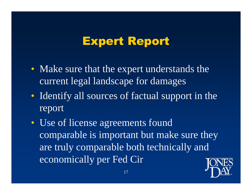#### Expert Report

- Make sure that the expert understands the current legal landscape for damages
- Identify all sources of factual support in the report
- Use of license agreements found comparable is important but make sure they are truly comparable both technically and economically per Fed Cir

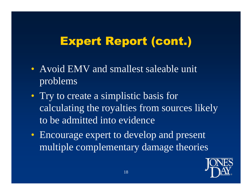# Expert Report (cont.)

- Avoid EMV and smallest saleable unit problems
- Try to create a simplistic basis for calculating the royalties from sources likely to be admitted into evidence
- Encourage expert to develop and present multiple complementary damage theories

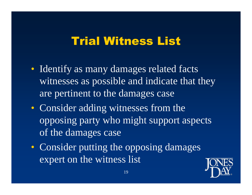#### Trial Witness List

- Identify as many damages related facts witnesses as possible and indicate that they are pertinent to the damages case
- Consider adding witnesses from the opposing party who might support aspects of the damages case
- Consider putting the opposing damages expert on the witness list

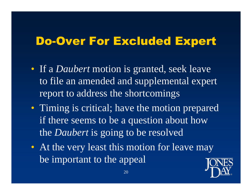### Do-Over For Excluded Expert

- If a *Daubert* motion is granted, seek leave to file an amended and supplemental expert report to address the shortcomings
- Timing is critical; have the motion prepared if there seems to be a question about how the *Daubert* is going to be resolved
- At the very least this motion for leave may be important to the appeal

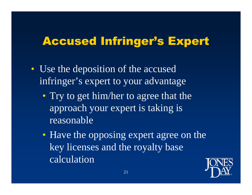### Accused Infringer's Expert

- Use the deposition of the accused infringer's expert to your advantage
	- Try to get him/her to agree that the approach your expert is taking is reasonable
	- Have the opposing expert agree on the key licenses and the royalty base calculation

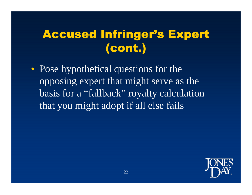# Accused Infringer's Expert (cont.)

• Pose hypothetical questions for the opposing expert that might serve as the basis for a "fallback" royalty calculation that you might adopt if all else fails

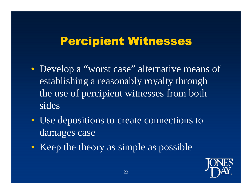#### Percipient Witnesses

- Develop a "worst case" alternative means of establishing a reasonably royalty through the use of percipient witnesses from both sides
- Use depositions to create connections to damages case
- Keep the theory as simple as possible

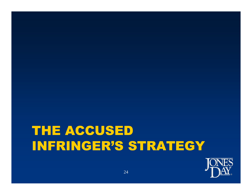# THE ACCUSED INFRINGER'S STRATEGY

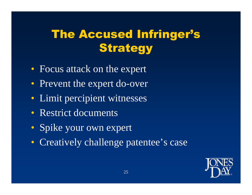# The Accused Infringer's **Strategy**

- Focus attack on the expert
- Prevent the expert do-over
- Limit percipient witnesses
- Restrict documents
- Spike your own expert
- Creatively challenge patentee's case

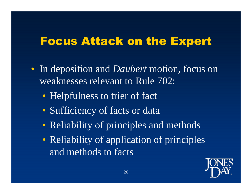#### Focus Attack on the Expert

- In deposition and *Daubert* motion, focus on weaknesses relevant to Rule 702:
	- Helpfulness to trier of fact
	- Sufficiency of facts or data
	- Reliability of principles and methods
	- Reliability of application of principles and methods to facts

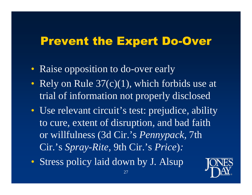### Prevent the Expert Do-Over

- Raise opposition to do-over early
- Rely on Rule  $37(c)(1)$ , which forbids use at trial of information not properly disclosed
- Use relevant circuit's test: prejudice, ability to cure, extent of disruption, and bad faith or willfulness (3d Cir.'s *Pennypack,* 7th Cir.'s *Spray-Rite,* 9th Cir.'s *Price*)*:*
- Stress policy laid down by J. Alsup

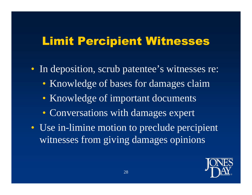### Limit Percipient Witnesses

- In deposition, scrub patentee's witnesses re:
	- Knowledge of bases for damages claim
	- Knowledge of important documents
	- Conversations with damages expert
- Use in-limine motion to preclude percipient witnesses from giving damages opinions

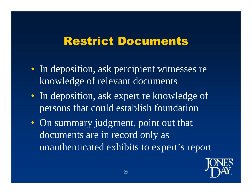#### Restrict Documents

- In deposition, ask percipient witnesses re knowledge of relevant documents
- In deposition, ask expert re knowledge of persons that could establish foundation
- On summary judgment, point out that documents are in record only as unauthenticated exhibits to expert's report

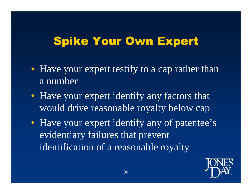# Spike Your Own Expert

- Have your expert testify to a cap rather than a number
- Have your expert identify any factors that would drive reasonable royalty below cap
- Have your expert identify any of patentee's evidentiary failures that prevent identification of a reasonable royalty

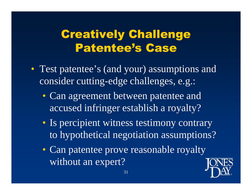# Creatively Challenge Patentee's Case

- Test patentee's (and your) assumptions and consider cutting-edge challenges, e.g.:
	- Can agreement between patentee and accused infringer establish a royalty?
	- Is percipient witness testimony contrary to hypothetical negotiation assumptions?
	- Can patentee prove reasonable royalty without an expert?

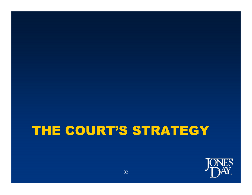# THE COURT'S STRATEGY

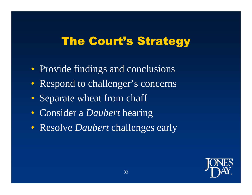### The Court's Strategy

- Provide findings and conclusions
- Respond to challenger's concerns
- Separate wheat from chaff
- Consider a *Daubert* hearing
- Resolve *Daubert* challenges early

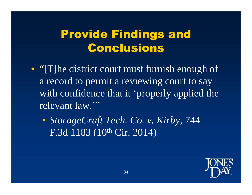# Provide Findings and Conclusions

- "I'lle district court must furnish enough of a record to permit a reviewing court to say with confidence that it 'properly applied the relevant law.'"
	- *StorageCraft Tech. Co. v. Kirby*, 744 F.3d 1183 (10<sup>th</sup> Cir. 2014)

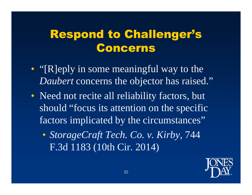# Respond to Challenger's Concerns

- "[R]eply in some meaningful way to the *Daubert* concerns the objector has raised."
- Need not recite all reliability factors, but should "focus its attention on the specific factors implicated by the circumstances"
	- *StorageCraft Tech. Co. v. Kirby*, 744 F.3d 1183 (10th Cir. 2014)

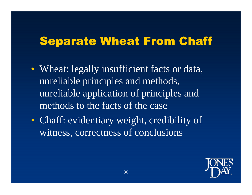### Separate Wheat From Chaff

- Wheat: legally insufficient facts or data, unreliable principles and methods, unreliable application of principles and methods to the facts of the case
- Chaff: evidentiary weight, credibility of witness, correctness of conclusions

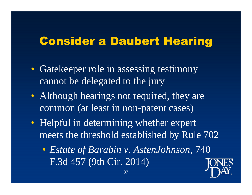#### Consider a Daubert Hearing

- Gatekeeper role in assessing testimony cannot be delegated to the jury
- Although hearings not required, they are common (at least in non-patent cases)
- Helpful in determining whether expert meets the threshold established by Rule 702
	- *Estate of Barabin v. AstenJohnson*, 740 F.3d 457 (9th Cir. 2014)

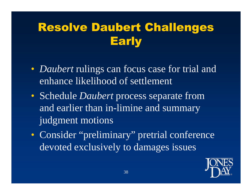# Resolve Daubert Challenges **Early**

- *Daubert* rulings can focus case for trial and enhance likelihood of settlement
- Schedule *Daubert* process separate from and earlier than in-limine and summary judgment motions
- Consider "preliminary" pretrial conference devoted exclusively to damages issues

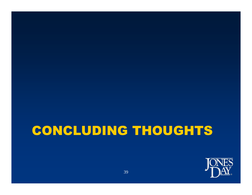# CONCLUDING THOUGHTS

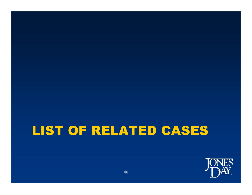# LIST OF RELATED CASES

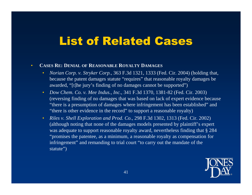#### List of Related Cases

#### • **CASES RE: DENIAL OF REASONABLE ROYALTY DAMAGES**

- *Norian Corp. v. Stryker Corp.*, 363 F.3d 1321, 1333 (Fed. Cir. 2004) (holding that, because the patent damages statute "requires" that reasonable royalty damages be awarded, "[t]he jury's finding of no damages cannot be supported")
- *Dow Chem. Co. v. Mee Indus., Inc.*, 341 F.3d 1370, 1381-82 (Fed. Cir. 2003) (reversing finding of no damages that was based on lack of expert evidence because "there is a presumption of damages where infringement has been established" and "there is other evidence in the record" to support a reasonable royalty)
- *Riles v. Shell Exploration and Prod. Co.*, 298 F.3d 1302, 1313 (Fed. Cir. 2002) (although noting that none of the damages models presented by plaintiff's expert was adequate to support reasonable royalty award, nevertheless finding that § 284 "promises the patentee, as a minimum, a reasonable royalty as compensation for infringement" and remanding to trial court "to carry out the mandate of the statute")

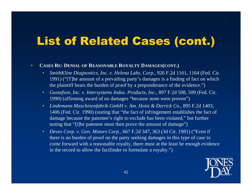#### • **CASES RE: DENIAL OF REASONABLE ROYALTY DAMAGES(CONT.)**

- *SmithKline Diagnostics, Inc. v. Helena Labs. Corp.*, 926 F.2d 1161, 1164 (Fed. Cir. 1991) ("[T]he amount of a prevailing party's damages is a finding of fact on which the plaintiff bears the burden of proof by a preponderance of the evidence.")
- *Gustafson, Inc. v. Intersystems Indus. Products, Inc.*, 897 F.2d 508, 509 (Fed. Cir. 1990) (affirming award of no damages "because none were proven")
- *Lindemann Maschinenfabrik GmbH v. Am. Hoist & Derrick Co.*, 895 F.2d 1403, 1406 (Fed. Cir. 1990) (stating that "the fact of infringement establishes the fact of damage because the patentee's right to exclude has been violated," but further noting that "[t]he patentee must then prove the amount of damage")
- *Devex Corp. v. Gen. Motors Corp.*, 667 F.2d 347, 363 (3d Cir. 1981) ("Even if there is no burden of proof on the party seeking damages in this type of case to come forward with a reasonable royalty, there must at the least be enough evidence in the record to allow the factfinder to formulate a royalty.")

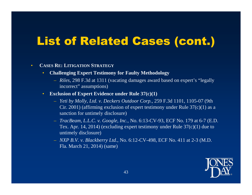- **CASES RE: LITIGATION STRATEGY**
	- **Challenging Expert Testimony for Faulty Methodology**
		- *Riles*, 298 F.3d at 1311 (vacating damages award based on expert's "legally incorrect" assumptions)
	- **Exclusion of Expert Evidence under Rule 37(c)(1)**
		- *Yeti by Molly, Ltd. v. Deckers Outdoor Corp.*, 259 F.3d 1101, 1105-07 (9th Cir. 2001) (affirming exclusion of expert testimony under Rule  $37(c)(1)$  as a sanction for untimely disclosure)
		- *TracBeam, L.L.C. v. Google, Inc.*, No. 6:13-CV-93, ECF No. 179 at 6-7 (E.D. Tex. Apr. 14, 2014) (excluding expert testimony under Rule  $37(c)(1)$  due to untimely disclosure)
		- *NXP B.V. v. Blackberry Ltd.*, No. 6:12-CV-498, ECF No. 411 at 2-3 (M.D. Fla. March 21, 2014) (same)

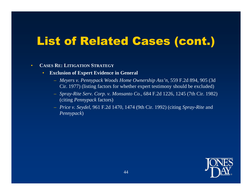- **CASES RE: LITIGATION STRATEGY**
	- **Exclusion of Expert Evidence in General**
		- *Meyers v. Pennypack Woods Home Ownership Ass'n*, 559 F.2d 894, 905 (3d Cir. 1977) (listing factors for whether expert testimony should be excluded)
		- *Spray-Rite Serv. Corp. v. Monsanto Co.*, 684 F.2d 1226, 1245 (7th Cir. 1982) (citing *Pennypack* factors)
		- *Price v. Seydel*, 961 F.2d 1470, 1474 (9th Cir. 1992) (citing *Spray-Rite* and *Pennypack*)

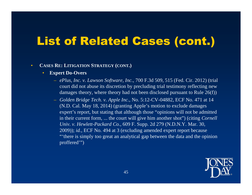#### • **CASES RE: LITIGATION STRATEGY (CONT.)**

- **Expert Do-Overs**
	- *ePlus, Inc. v. Lawson Software, Inc.*, 700 F.3d 509, 515 (Fed. Cir. 2012) (trial court did not abuse its discretion by precluding trial testimony reflecting new damages theory, where theory had not been disclosed pursuant to Rule 26(f))
	- *Golden Bridge Tech. v. Apple Inc.*, No. 5:12-CV-04882, ECF No. 471 at 14 (N.D. Cal. May 18, 2014) (granting Apple's motion to exclude damages expert's report, but stating that although those "opinions will not be admitted in their current form, ... the court will give him another shot") (citing *Cornell Univ. v. Hewlett-Packard Co.*, 609 F. Supp. 2d 279 (N.D.N.Y. Mar. 30, 2009)); *id.*, ECF No. 494 at 3 (excluding amended expert report because "'there is simply too great an analytical gap between the data and the opinion proffered'")

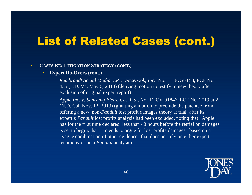- **CASES RE: LITIGATION STRATEGY (CONT.)**
	- **Expert Do-Overs (cont.)**
		- *Rembrandt Social Media, LP v. Facebook, Inc.*, No. 1:13-CV-158, ECF No. 435 (E.D. Va. May 6, 2014) (denying motion to testify to new theory after exclusion of original expert report)
		- *Apple Inc. v. Samsung Elecs. Co., Ltd., No.* 11-CV-01846, ECF No. 2719 at 2 (N.D. Cal. Nov. 12, 2013) (granting a motion to preclude the patentee from offering a new, non-*Panduit* lost profit damages theory at trial, after its expert's *Panduit* lost profits analysis had been excluded, noting that "Apple has for the first time declared, less than 48 hours before the retrial on damages is set to begin, that it intends to argue for lost profits damages" based on a "vague combination of other evidence" that does not rely on either expert testimony or on a *Panduit* analysis)

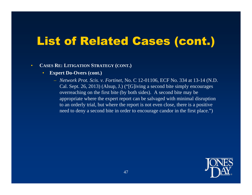- **CASES RE: LITIGATION STRATEGY (CONT.)**
	- **Expert Do-Overs (cont.)**
		- *Network Prot. Scis. v. Fortinet*, No. C 12-01106, ECF No. 334 at 13-14 (N.D. Cal. Sept. 26, 2013) (Alsup, J.) ("[G]iving a second bite simply encourages overreaching on the first bite (by both sides). A second bite may be appropriate where the expert report can be salvaged with minimal disruption to an orderly trial, but where the report is not even close, there is a positive need to deny a second bite in order to encourage candor in the first place.")

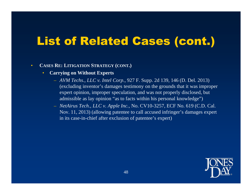- **CASES RE: LITIGATION STRATEGY (CONT.)**
	- **Carrying on Without Experts**
		- *AVM Techs., LLC v. Intel Corp.*, 927 F. Supp. 2d 139, 146 (D. Del. 2013) (excluding inventor's damages testimony on the grounds that it was improper expert opinion, improper speculation, and was not properly disclosed, but admissible as lay opinion "as to facts within his personal knowledge")
		- *NetAirus Tech., LLC v. Apple Inc.*, No. CV10-3257, ECF No. 619 (C.D. Cal. Nov. 11, 2013) (allowing patentee to call accused infringer's damages expert in its case-in-chief after exclusion of patentee's expert)